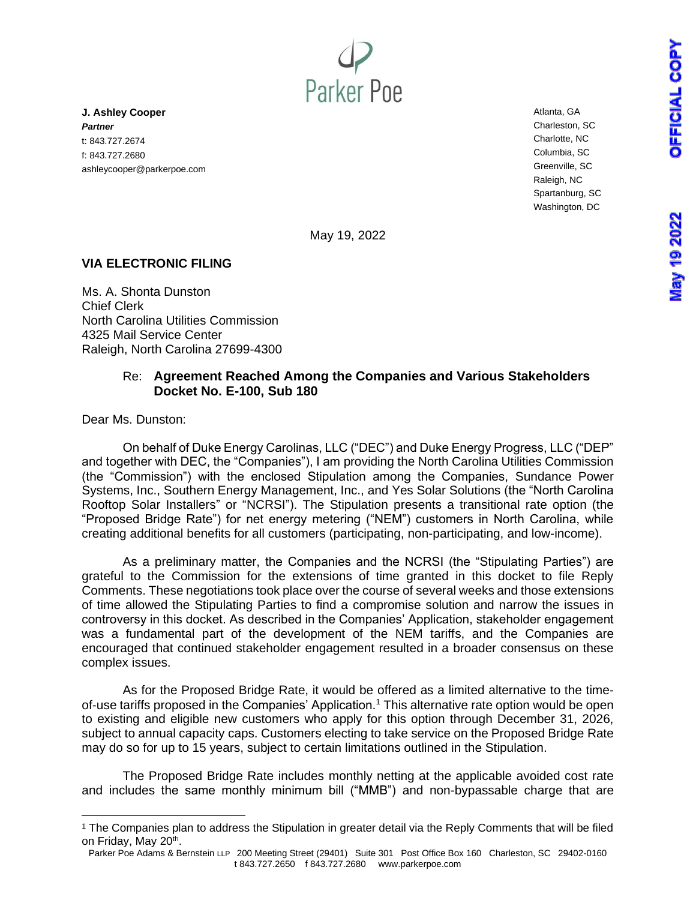**Nay 19 2022** 



**J. Ashley Cooper** *Partner* t: 843.727.2674 f: 843.727.2680 ashleycooper@parkerpoe.com Atlanta, GA Charleston, SC Charlotte, NC Columbia, SC Greenville, SC Raleigh, NC Spartanburg, SC Washington, DC

May 19, 2022

#### **VIA ELECTRONIC FILING**

Ms. A. Shonta Dunston Chief Clerk North Carolina Utilities Commission 4325 Mail Service Center Raleigh, North Carolina 27699-4300

#### Re: **Agreement Reached Among the Companies and Various Stakeholders Docket No. E-100, Sub 180**

Dear Ms. Dunston:

On behalf of Duke Energy Carolinas, LLC ("DEC") and Duke Energy Progress, LLC ("DEP" and together with DEC, the "Companies"), I am providing the North Carolina Utilities Commission (the "Commission") with the enclosed Stipulation among the Companies, Sundance Power Systems, Inc., Southern Energy Management, Inc., and Yes Solar Solutions (the "North Carolina Rooftop Solar Installers" or "NCRSI"). The Stipulation presents a transitional rate option (the "Proposed Bridge Rate") for net energy metering ("NEM") customers in North Carolina, while creating additional benefits for all customers (participating, non-participating, and low-income).

As a preliminary matter, the Companies and the NCRSI (the "Stipulating Parties") are grateful to the Commission for the extensions of time granted in this docket to file Reply Comments. These negotiations took place over the course of several weeks and those extensions of time allowed the Stipulating Parties to find a compromise solution and narrow the issues in controversy in this docket. As described in the Companies' Application, stakeholder engagement was a fundamental part of the development of the NEM tariffs, and the Companies are encouraged that continued stakeholder engagement resulted in a broader consensus on these complex issues.

As for the Proposed Bridge Rate, it would be offered as a limited alternative to the timeof-use tariffs proposed in the Companies' Application.<sup>1</sup> This alternative rate option would be open to existing and eligible new customers who apply for this option through December 31, 2026, subject to annual capacity caps. Customers electing to take service on the Proposed Bridge Rate may do so for up to 15 years, subject to certain limitations outlined in the Stipulation.

The Proposed Bridge Rate includes monthly netting at the applicable avoided cost rate and includes the same monthly minimum bill ("MMB") and non-bypassable charge that are

<sup>1</sup> The Companies plan to address the Stipulation in greater detail via the Reply Comments that will be filed on Friday, May 20<sup>th</sup>.

Parker Poe Adams & Bernstein LLP 200 Meeting Street (29401) Suite 301 Post Office Box 160 Charleston, SC 29402-0160 t 843.727.2650 f 843.727.2680 www.parkerpoe.com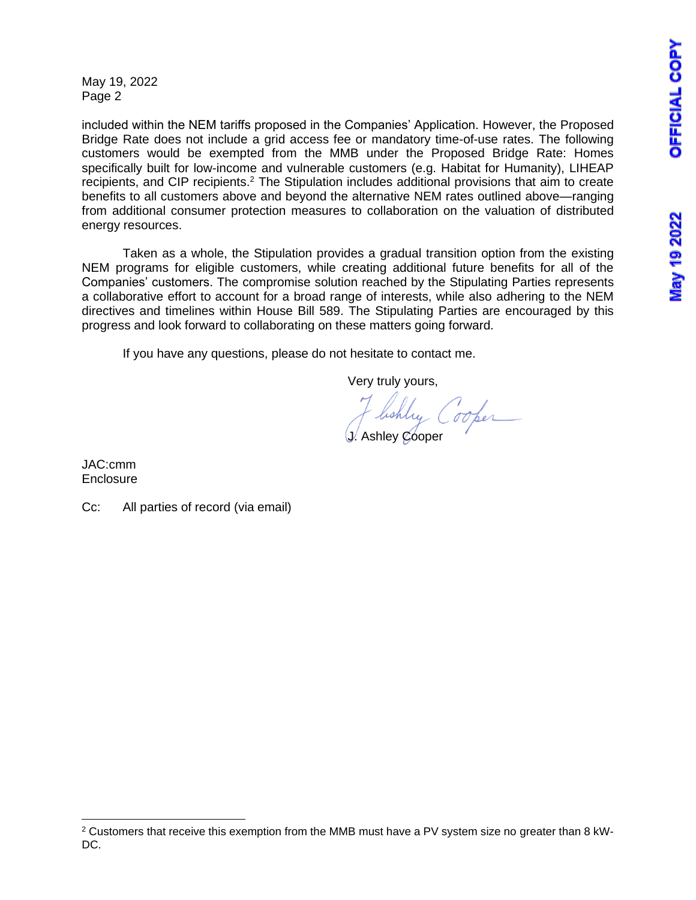May 19, 2022 Page 2

included within the NEM tariffs proposed in the Companies' Application. However, the Proposed Bridge Rate does not include a grid access fee or mandatory time-of-use rates. The following customers would be exempted from the MMB under the Proposed Bridge Rate: Homes specifically built for low-income and vulnerable customers (e.g. Habitat for Humanity), LIHEAP recipients, and CIP recipients.<sup>2</sup> The Stipulation includes additional provisions that aim to create benefits to all customers above and beyond the alternative NEM rates outlined above—ranging from additional consumer protection measures to collaboration on the valuation of distributed energy resources.

Taken as a whole, the Stipulation provides a gradual transition option from the existing NEM programs for eligible customers, while creating additional future benefits for all of the Companies' customers. The compromise solution reached by the Stipulating Parties represents a collaborative effort to account for a broad range of interests, while also adhering to the NEM directives and timelines within House Bill 589. The Stipulating Parties are encouraged by this progress and look forward to collaborating on these matters going forward.

If you have any questions, please do not hesitate to contact me.

Very truly yours,

lishly ( Cooper J. Ashley Cooper

JAC:cmm **Enclosure** 

Cc: All parties of record (via email)

<sup>2</sup> Customers that receive this exemption from the MMB must have a PV system size no greater than 8 kW-DC.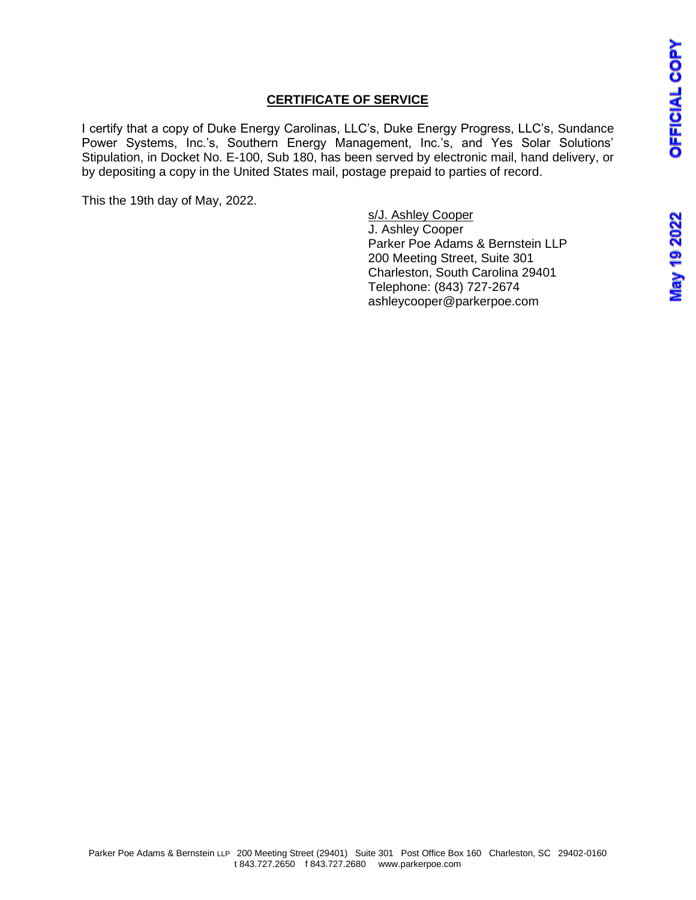## **CERTIFICATE OF SERVICE**

I certify that a copy of Duke Energy Carolinas, LLC's, Duke Energy Progress, LLC's, Sundance Power Systems, Inc.'s, Southern Energy Management, Inc.'s, and Yes Solar Solutions' Stipulation, in Docket No. E-100, Sub 180, has been served by electronic mail, hand delivery, or by depositing a copy in the United States mail, postage prepaid to parties of record.

This the 19th day of May, 2022.

s/J. Ashley Cooper J. Ashley Cooper Parker Poe Adams & Bernstein LLP 200 Meeting Street, Suite 301 Charleston, South Carolina 29401 Telephone: (843) 727-2674 ashleycooper@parkerpoe.com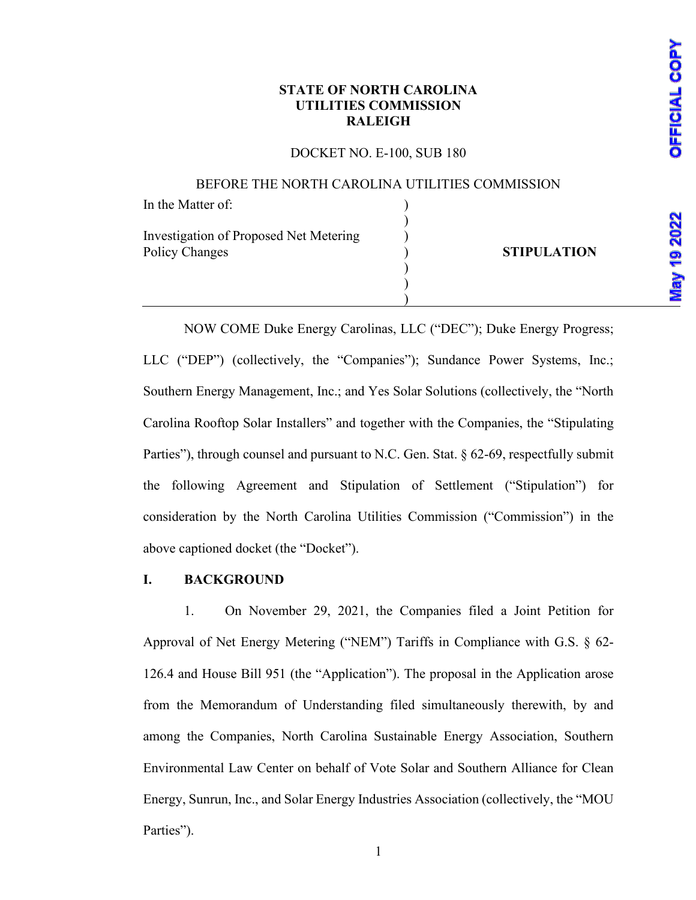## **STATE OF NORTH CAROLINA UTILITIES COMMISSION RALEIGH**

#### DOCKET NO. E-100, SUB 180

#### BEFORE THE NORTH CAROLINA UTILITIES COMMISSION

| In the Matter of:                      |                    |
|----------------------------------------|--------------------|
|                                        |                    |
| Investigation of Proposed Net Metering |                    |
| Policy Changes                         | <b>STIPULATION</b> |
|                                        |                    |
|                                        |                    |
|                                        |                    |

NOW COME Duke Energy Carolinas, LLC ("DEC"); Duke Energy Progress; LLC ("DEP") (collectively, the "Companies"); Sundance Power Systems, Inc.; Southern Energy Management, Inc.; and Yes Solar Solutions (collectively, the "North Carolina Rooftop Solar Installers" and together with the Companies, the "Stipulating Parties"), through counsel and pursuant to N.C. Gen. Stat. § 62-69, respectfully submit the following Agreement and Stipulation of Settlement ("Stipulation") for consideration by the North Carolina Utilities Commission ("Commission") in the above captioned docket (the "Docket").

#### **I. BACKGROUND**

1. On November 29, 2021, the Companies filed a Joint Petition for Approval of Net Energy Metering ("NEM") Tariffs in Compliance with G.S. § 62- 126.4 and House Bill 951 (the "Application"). The proposal in the Application arose from the Memorandum of Understanding filed simultaneously therewith, by and among the Companies, North Carolina Sustainable Energy Association, Southern Environmental Law Center on behalf of Vote Solar and Southern Alliance for Clean Energy, Sunrun, Inc., and Solar Energy Industries Association (collectively, the "MOU Parties").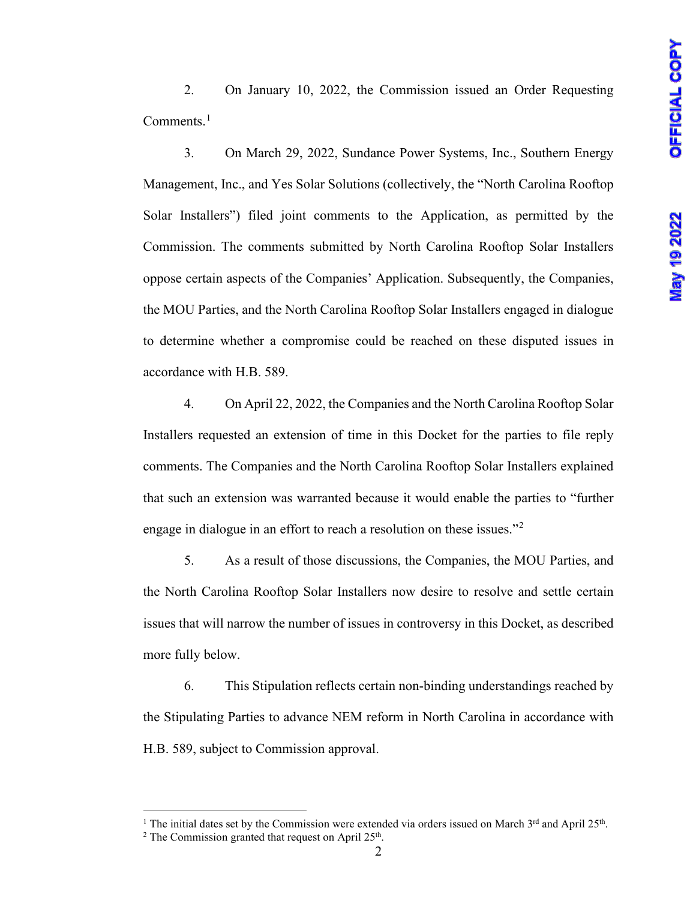2. On January 10, 2022, the Commission issued an Order Requesting Comments.<sup>[1](#page-4-0)</sup>

3. On March 29, 2022, Sundance Power Systems, Inc., Southern Energy Management, Inc., and Yes Solar Solutions (collectively, the "North Carolina Rooftop Solar Installers") filed joint comments to the Application, as permitted by the Commission. The comments submitted by North Carolina Rooftop Solar Installers oppose certain aspects of the Companies' Application. Subsequently, the Companies, the MOU Parties, and the North Carolina Rooftop Solar Installers engaged in dialogue to determine whether a compromise could be reached on these disputed issues in accordance with H.B. 589.

4. On April 22, 2022, the Companies and the North Carolina Rooftop Solar Installers requested an extension of time in this Docket for the parties to file reply comments. The Companies and the North Carolina Rooftop Solar Installers explained that such an extension was warranted because it would enable the parties to "further engage in dialogue in an effort to reach a resolution on these issues."[2](#page-4-1)

5. As a result of those discussions, the Companies, the MOU Parties, and the North Carolina Rooftop Solar Installers now desire to resolve and settle certain issues that will narrow the number of issues in controversy in this Docket, as described more fully below.

6. This Stipulation reflects certain non-binding understandings reached by the Stipulating Parties to advance NEM reform in North Carolina in accordance with H.B. 589, subject to Commission approval.

<span id="page-4-1"></span><span id="page-4-0"></span><sup>&</sup>lt;sup>1</sup> The initial dates set by the Commission were extended via orders issued on March  $3^{rd}$  and April 25<sup>th</sup>.<br><sup>2</sup> The Commission granted that request on April 25<sup>th</sup>.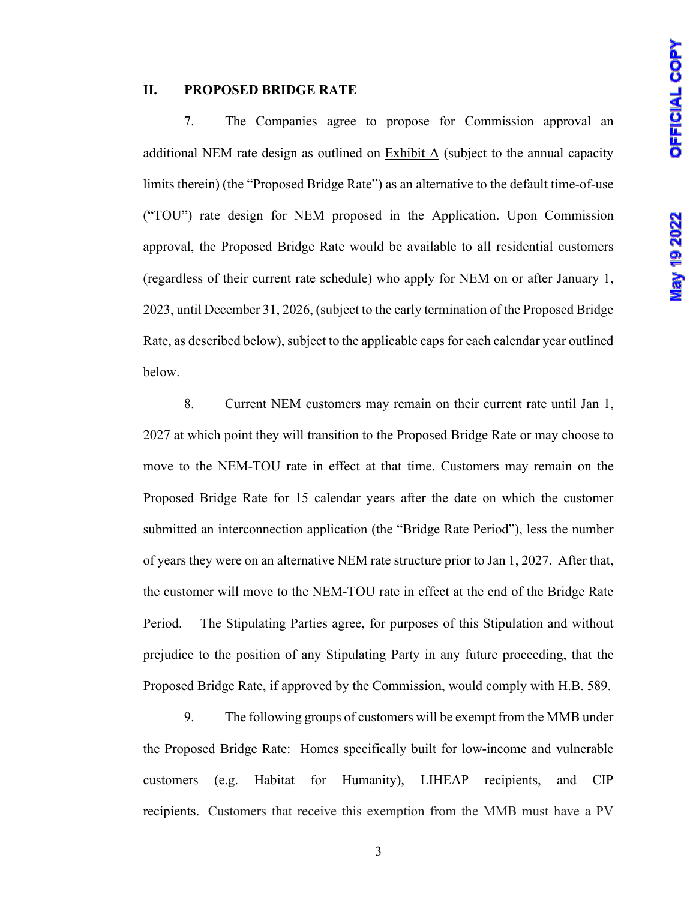#### **II. PROPOSED BRIDGE RATE**

7. The Companies agree to propose for Commission approval an additional NEM rate design as outlined on Exhibit A (subject to the annual capacity limits therein) (the "Proposed Bridge Rate") as an alternative to the default time-of-use ("TOU") rate design for NEM proposed in the Application. Upon Commission approval, the Proposed Bridge Rate would be available to all residential customers (regardless of their current rate schedule) who apply for NEM on or after January 1, 2023, until December 31, 2026, (subject to the early termination of the Proposed Bridge Rate, as described below), subject to the applicable caps for each calendar year outlined below.

8. Current NEM customers may remain on their current rate until Jan 1, 2027 at which point they will transition to the Proposed Bridge Rate or may choose to move to the NEM-TOU rate in effect at that time. Customers may remain on the Proposed Bridge Rate for 15 calendar years after the date on which the customer submitted an interconnection application (the "Bridge Rate Period"), less the number of years they were on an alternative NEM rate structure prior to Jan 1, 2027. After that, the customer will move to the NEM-TOU rate in effect at the end of the Bridge Rate Period. The Stipulating Parties agree, for purposes of this Stipulation and without prejudice to the position of any Stipulating Party in any future proceeding, that the Proposed Bridge Rate, if approved by the Commission, would comply with H.B. 589.

9. The following groups of customers will be exempt from the MMB under the Proposed Bridge Rate: Homes specifically built for low-income and vulnerable customers (e.g. Habitat for Humanity), LIHEAP recipients, and CIP recipients. Customers that receive this exemption from the MMB must have a PV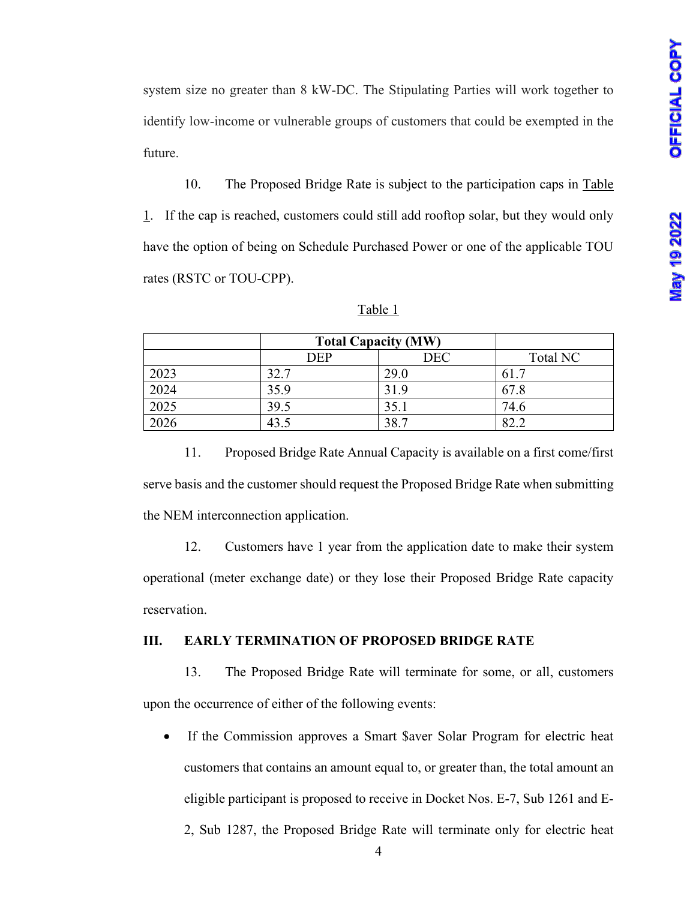system size no greater than 8 kW-DC. The Stipulating Parties will work together to identify low-income or vulnerable groups of customers that could be exempted in the future.

10. The Proposed Bridge Rate is subject to the participation caps in Table 1. If the cap is reached, customers could still add rooftop solar, but they would only have the option of being on Schedule Purchased Power or one of the applicable TOU rates (RSTC or TOU-CPP).

|      | <b>Total Capacity (MW)</b> |            |          |
|------|----------------------------|------------|----------|
|      | <b>DEP</b>                 | <b>DEC</b> | Total NC |
| 2023 | 32.7                       | 29.0       | 61.7     |
| 2024 | 35.9                       | 31.9       | 67.8     |
| 2025 | 39.5                       | 35.1       | 74.6     |
| 2026 | 43.5                       | 38.7       | 822      |

Table 1

11. Proposed Bridge Rate Annual Capacity is available on a first come/first serve basis and the customer should request the Proposed Bridge Rate when submitting the NEM interconnection application.

12. Customers have 1 year from the application date to make their system operational (meter exchange date) or they lose their Proposed Bridge Rate capacity reservation.

#### **III. EARLY TERMINATION OF PROPOSED BRIDGE RATE**

13. The Proposed Bridge Rate will terminate for some, or all, customers upon the occurrence of either of the following events:

- If the Commission approves a Smart \$aver Solar Program for electric heat customers that contains an amount equal to, or greater than, the total amount an eligible participant is proposed to receive in Docket Nos. E-7, Sub 1261 and E-
	- 2, Sub 1287, the Proposed Bridge Rate will terminate only for electric heat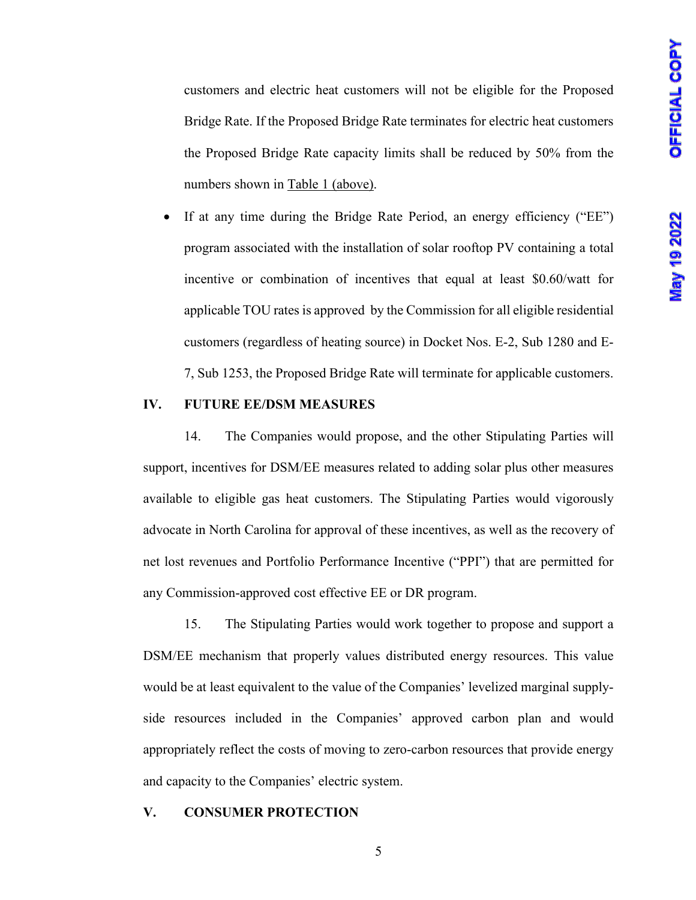customers and electric heat customers will not be eligible for the Proposed Bridge Rate. If the Proposed Bridge Rate terminates for electric heat customers the Proposed Bridge Rate capacity limits shall be reduced by 50% from the numbers shown in Table 1 (above).

If at any time during the Bridge Rate Period, an energy efficiency ("EE") program associated with the installation of solar rooftop PV containing a total incentive or combination of incentives that equal at least \$0.60/watt for applicable TOU rates is approved by the Commission for all eligible residential customers (regardless of heating source) in Docket Nos. E-2, Sub 1280 and E-7, Sub 1253, the Proposed Bridge Rate will terminate for applicable customers.

#### **IV. FUTURE EE/DSM MEASURES**

14. The Companies would propose, and the other Stipulating Parties will support, incentives for DSM/EE measures related to adding solar plus other measures available to eligible gas heat customers. The Stipulating Parties would vigorously advocate in North Carolina for approval of these incentives, as well as the recovery of net lost revenues and Portfolio Performance Incentive ("PPI") that are permitted for any Commission-approved cost effective EE or DR program.

15. The Stipulating Parties would work together to propose and support a DSM/EE mechanism that properly values distributed energy resources. This value would be at least equivalent to the value of the Companies' levelized marginal supplyside resources included in the Companies' approved carbon plan and would appropriately reflect the costs of moving to zero-carbon resources that provide energy and capacity to the Companies' electric system.

#### **V. CONSUMER PROTECTION**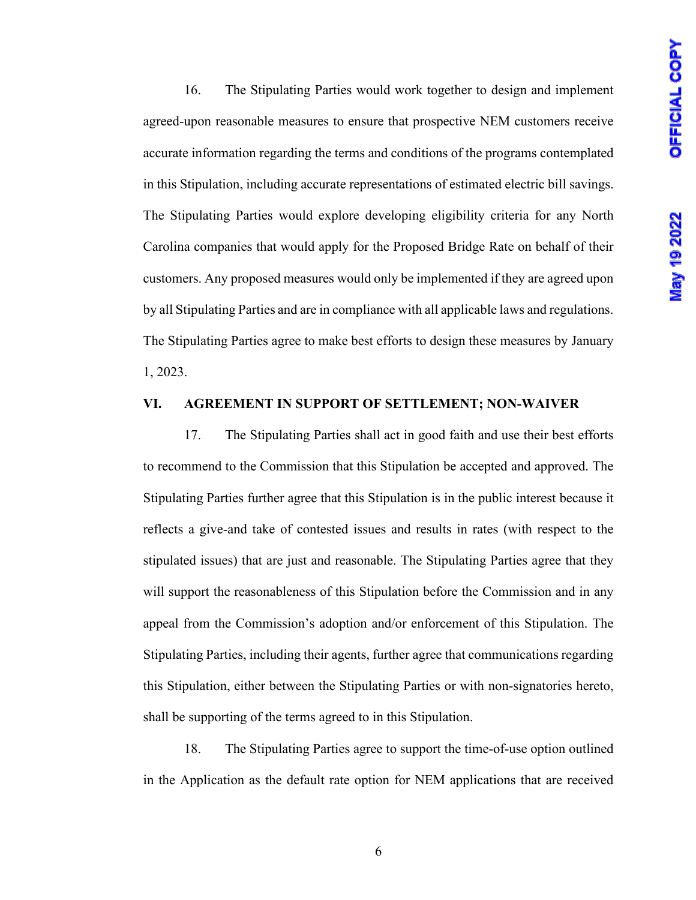16. The Stipulating Parties would work together to design and implement agreed-upon reasonable measures to ensure that prospective NEM customers receive accurate information regarding the terms and conditions of the programs contemplated in this Stipulation, including accurate representations of estimated electric bill savings. The Stipulating Parties would explore developing eligibility criteria for any North Carolina companies that would apply for the Proposed Bridge Rate on behalf of their customers. Any proposed measures would only be implemented if they are agreed upon by all Stipulating Parties and are in compliance with all applicable laws and regulations. The Stipulating Parties agree to make best efforts to design these measures by January 1, 2023.

#### **VI. AGREEMENT IN SUPPORT OF SETTLEMENT; NON-WAIVER**

17. The Stipulating Parties shall act in good faith and use their best efforts to recommend to the Commission that this Stipulation be accepted and approved. The Stipulating Parties further agree that this Stipulation is in the public interest because it reflects a give-and take of contested issues and results in rates (with respect to the stipulated issues) that are just and reasonable. The Stipulating Parties agree that they will support the reasonableness of this Stipulation before the Commission and in any appeal from the Commission's adoption and/or enforcement of this Stipulation. The Stipulating Parties, including their agents, further agree that communications regarding this Stipulation, either between the Stipulating Parties or with non-signatories hereto, shall be supporting of the terms agreed to in this Stipulation.

18. The Stipulating Parties agree to support the time-of-use option outlined in the Application as the default rate option for NEM applications that are received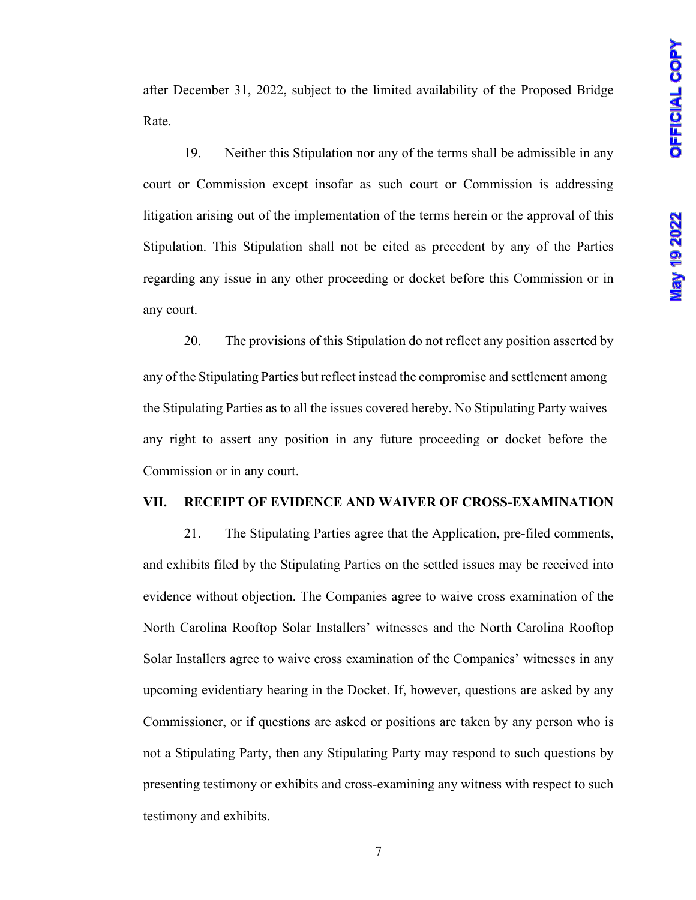after December 31, 2022, subject to the limited availability of the Proposed Bridge Rate.

19. Neither this Stipulation nor any of the terms shall be admissible in any court or Commission except insofar as such court or Commission is addressing litigation arising out of the implementation of the terms herein or the approval of this Stipulation. This Stipulation shall not be cited as precedent by any of the Parties regarding any issue in any other proceeding or docket before this Commission or in any court.

20. The provisions of this Stipulation do not reflect any position asserted by any of the Stipulating Parties but reflect instead the compromise and settlement among the Stipulating Parties as to all the issues covered hereby. No Stipulating Party waives any right to assert any position in any future proceeding or docket before the Commission or in any court.

#### **VII. RECEIPT OF EVIDENCE AND WAIVER OF CROSS-EXAMINATION**

21. The Stipulating Parties agree that the Application, pre-filed comments, and exhibits filed by the Stipulating Parties on the settled issues may be received into evidence without objection. The Companies agree to waive cross examination of the North Carolina Rooftop Solar Installers' witnesses and the North Carolina Rooftop Solar Installers agree to waive cross examination of the Companies' witnesses in any upcoming evidentiary hearing in the Docket. If, however, questions are asked by any Commissioner, or if questions are asked or positions are taken by any person who is not a Stipulating Party, then any Stipulating Party may respond to such questions by presenting testimony or exhibits and cross-examining any witness with respect to such testimony and exhibits.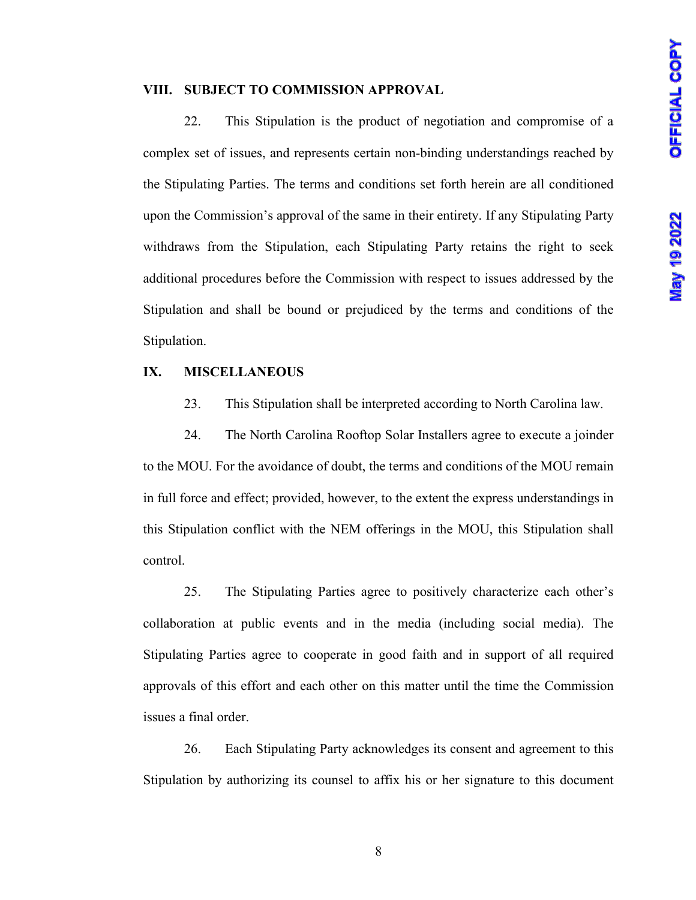#### **VIII. SUBJECT TO COMMISSION APPROVAL**

22. This Stipulation is the product of negotiation and compromise of a complex set of issues, and represents certain non-binding understandings reached by the Stipulating Parties. The terms and conditions set forth herein are all conditioned upon the Commission's approval of the same in their entirety. If any Stipulating Party withdraws from the Stipulation, each Stipulating Party retains the right to seek additional procedures before the Commission with respect to issues addressed by the Stipulation and shall be bound or prejudiced by the terms and conditions of the Stipulation.

#### **IX. MISCELLANEOUS**

23. This Stipulation shall be interpreted according to North Carolina law.

24. The North Carolina Rooftop Solar Installers agree to execute a joinder to the MOU. For the avoidance of doubt, the terms and conditions of the MOU remain in full force and effect; provided, however, to the extent the express understandings in this Stipulation conflict with the NEM offerings in the MOU, this Stipulation shall control.

25. The Stipulating Parties agree to positively characterize each other's collaboration at public events and in the media (including social media). The Stipulating Parties agree to cooperate in good faith and in support of all required approvals of this effort and each other on this matter until the time the Commission issues a final order.

26. Each Stipulating Party acknowledges its consent and agreement to this Stipulation by authorizing its counsel to affix his or her signature to this document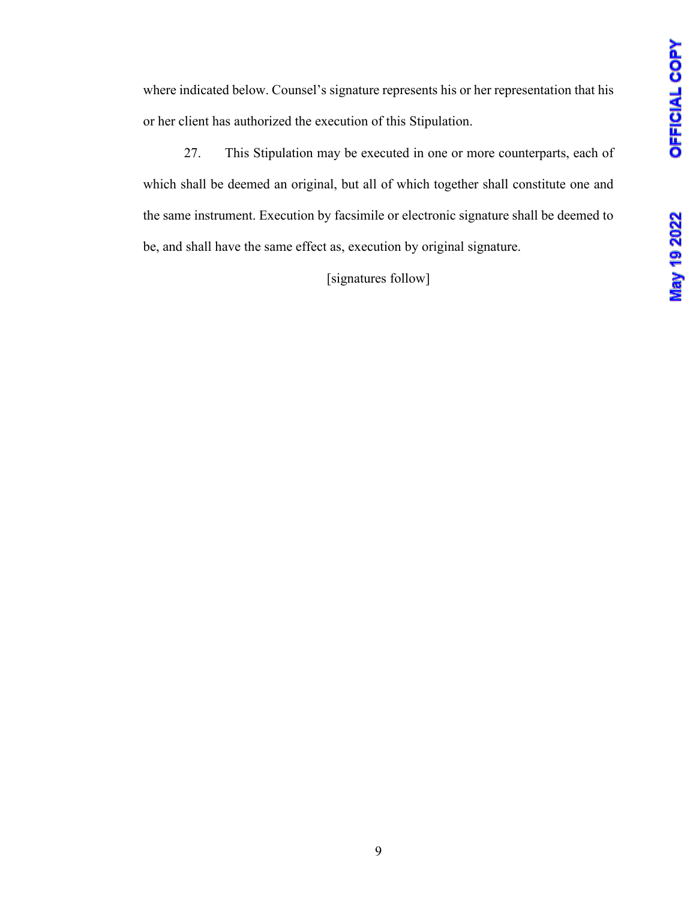where indicated below. Counsel's signature represents his or her representation that his or her client has authorized the execution of this Stipulation.

27. This Stipulation may be executed in one or more counterparts, each of which shall be deemed an original, but all of which together shall constitute one and the same instrument. Execution by facsimile or electronic signature shall be deemed to be, and shall have the same effect as, execution by original signature.

[signatures follow]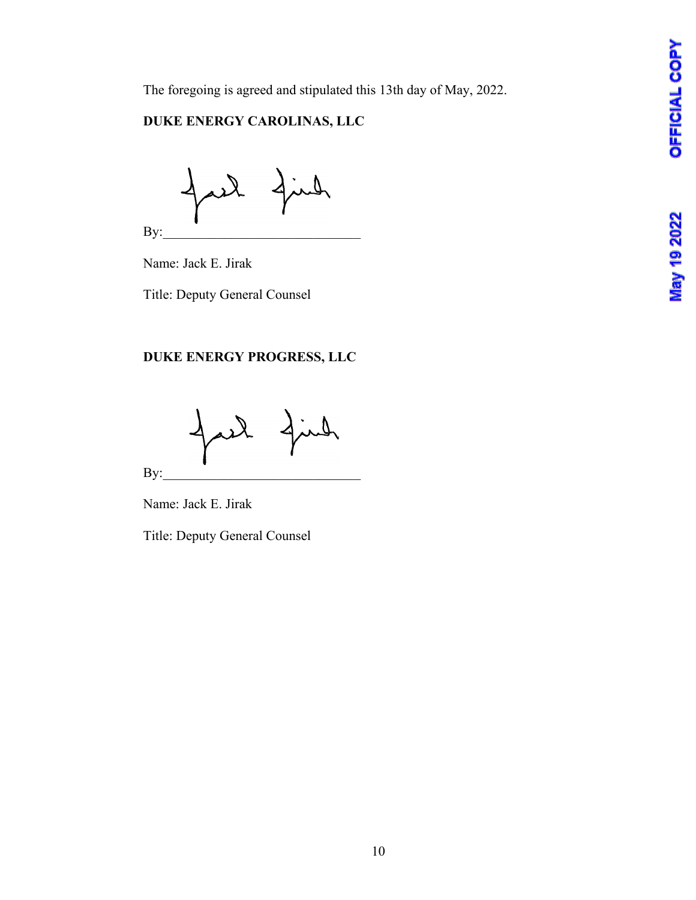The foregoing is agreed and stipulated this 13th day of May, 2022.

## **DUKE ENERGY CAROLINAS, LLC**

 $\mathbf{By:}$ 

Name: Jack E. Jirak

Title: Deputy General Counsel

## **DUKE ENERGY PROGRESS, LLC**

By:

Name: Jack E. Jirak

Title: Deputy General Counsel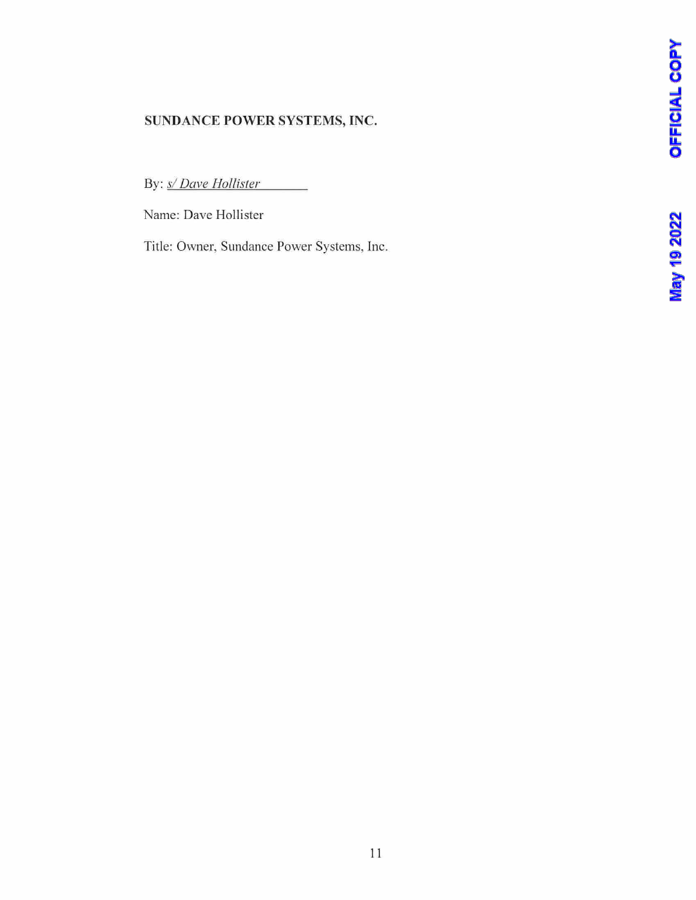## **SUNDANCE POWER SYSTEMS, INC.**

By: *s/Dave Hollister* 

Name: Dave Hollister

Title: Owner, Sundance Power Systems, Inc.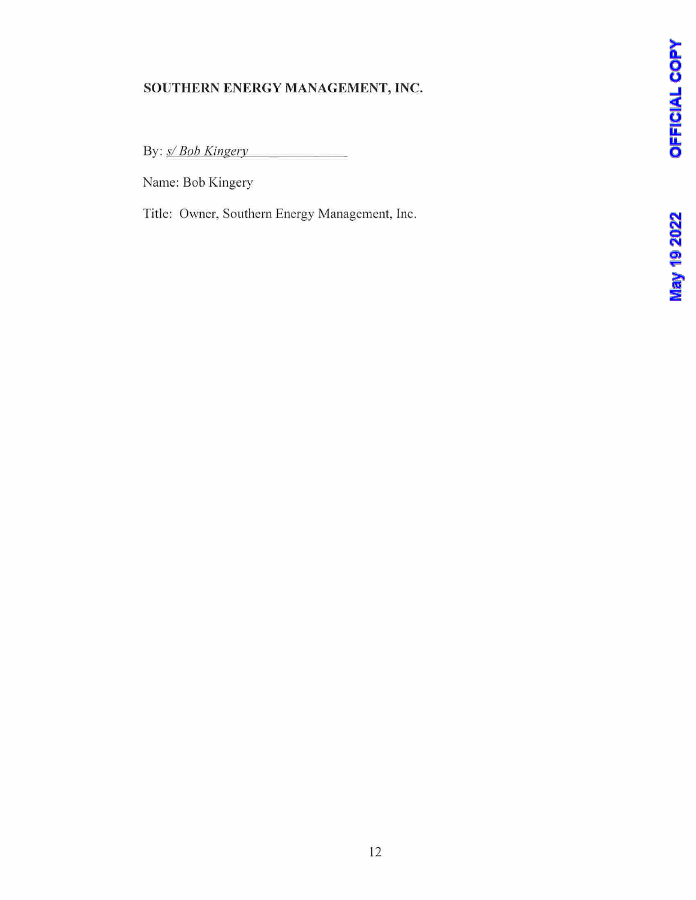## **SOUTHERN ENERGY MANAGEMENT, INC.**

By: *sl Bob Kingery* 

Name: Bob Kingery

Title: Owner, Southern Energy Management, Inc.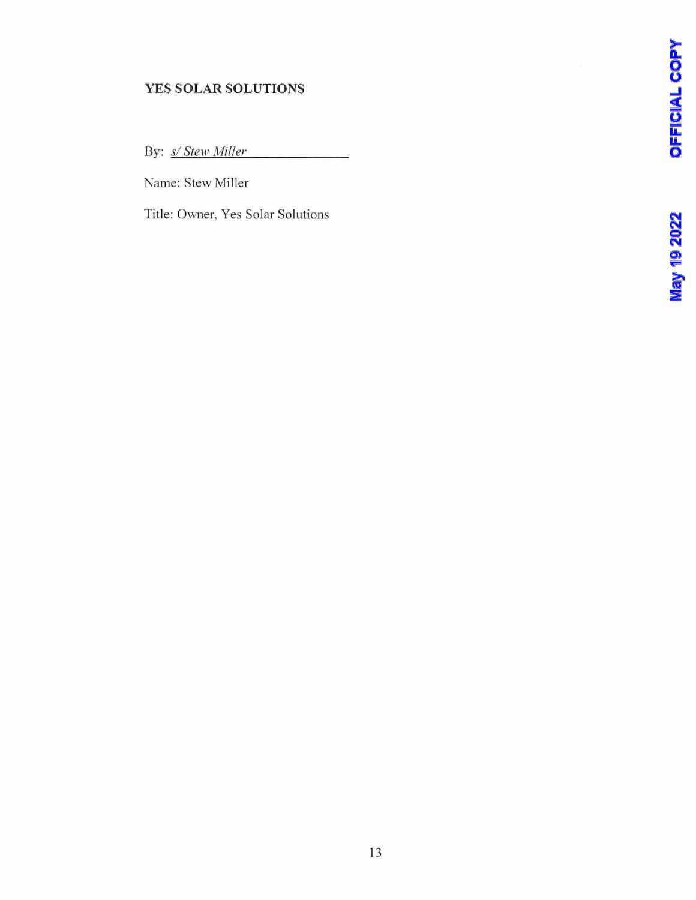## **YES SOLAR SOLUTIONS**

By: *sl Stew Miller* 

Name: Stew Miller

Title: Owner, Yes Solar Solutions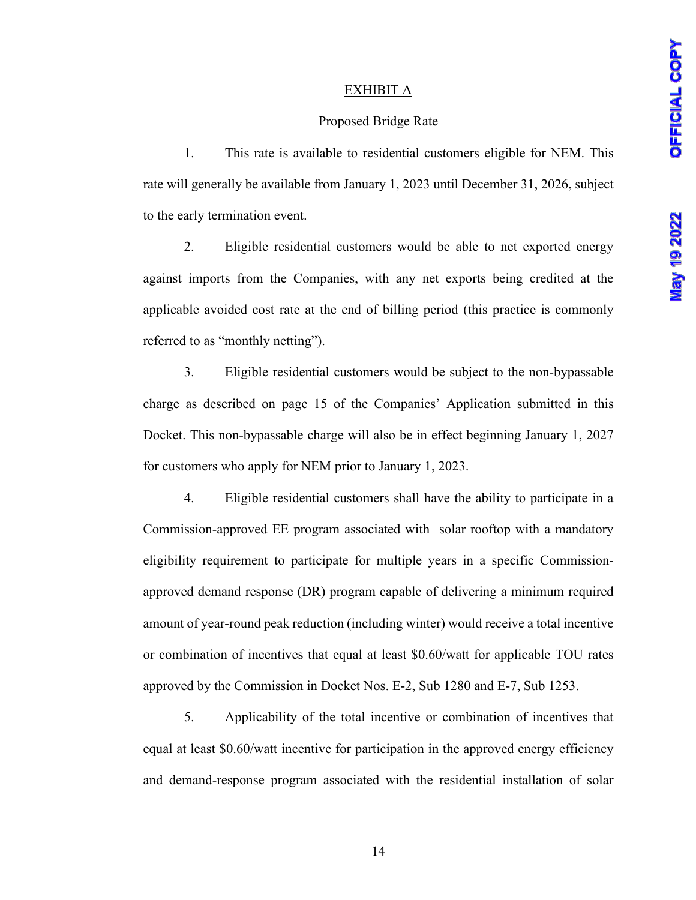## EXHIBIT A

#### Proposed Bridge Rate

1. This rate is available to residential customers eligible for NEM. This rate will generally be available from January 1, 2023 until December 31, 2026, subject to the early termination event.

2. Eligible residential customers would be able to net exported energy against imports from the Companies, with any net exports being credited at the applicable avoided cost rate at the end of billing period (this practice is commonly referred to as "monthly netting").

3. Eligible residential customers would be subject to the non-bypassable charge as described on page 15 of the Companies' Application submitted in this Docket. This non-bypassable charge will also be in effect beginning January 1, 2027 for customers who apply for NEM prior to January 1, 2023.

4. Eligible residential customers shall have the ability to participate in a Commission-approved EE program associated with solar rooftop with a mandatory eligibility requirement to participate for multiple years in a specific Commissionapproved demand response (DR) program capable of delivering a minimum required amount of year-round peak reduction (including winter) would receive a total incentive or combination of incentives that equal at least \$0.60/watt for applicable TOU rates approved by the Commission in Docket Nos. E-2, Sub 1280 and E-7, Sub 1253.

5. Applicability of the total incentive or combination of incentives that equal at least \$0.60/watt incentive for participation in the approved energy efficiency and demand-response program associated with the residential installation of solar